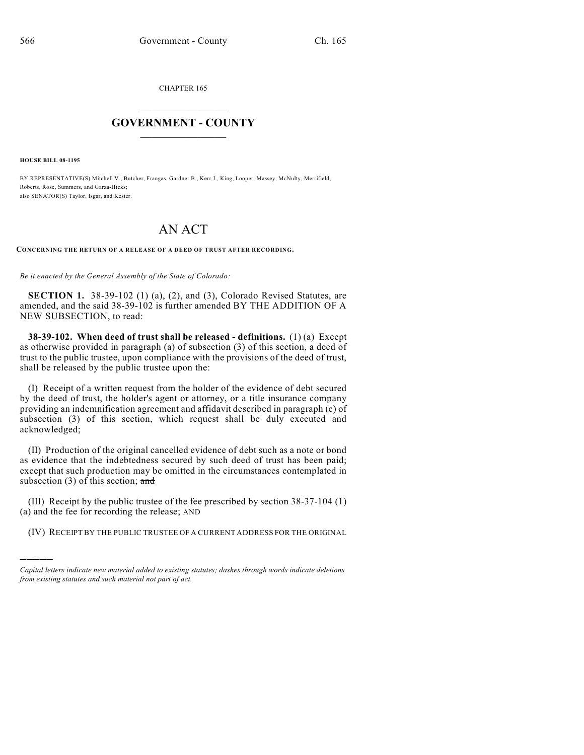CHAPTER 165

## $\mathcal{L}_\text{max}$  . The set of the set of the set of the set of the set of the set of the set of the set of the set of the set of the set of the set of the set of the set of the set of the set of the set of the set of the set **GOVERNMENT - COUNTY**  $\_$

**HOUSE BILL 08-1195**

)))))

BY REPRESENTATIVE(S) Mitchell V., Butcher, Frangas, Gardner B., Kerr J., King, Looper, Massey, McNulty, Merrifield, Roberts, Rose, Summers, and Garza-Hicks; also SENATOR(S) Taylor, Isgar, and Kester.

# AN ACT

**CONCERNING THE RETURN OF A RELEASE OF A DEED OF TRUST AFTER RECORDING.**

*Be it enacted by the General Assembly of the State of Colorado:*

**SECTION 1.** 38-39-102 (1) (a), (2), and (3), Colorado Revised Statutes, are amended, and the said 38-39-102 is further amended BY THE ADDITION OF A NEW SUBSECTION, to read:

**38-39-102. When deed of trust shall be released - definitions.** (1) (a) Except as otherwise provided in paragraph (a) of subsection (3) of this section, a deed of trust to the public trustee, upon compliance with the provisions of the deed of trust, shall be released by the public trustee upon the:

(I) Receipt of a written request from the holder of the evidence of debt secured by the deed of trust, the holder's agent or attorney, or a title insurance company providing an indemnification agreement and affidavit described in paragraph (c) of subsection (3) of this section, which request shall be duly executed and acknowledged;

(II) Production of the original cancelled evidence of debt such as a note or bond as evidence that the indebtedness secured by such deed of trust has been paid; except that such production may be omitted in the circumstances contemplated in subsection  $(3)$  of this section; and

(III) Receipt by the public trustee of the fee prescribed by section 38-37-104 (1) (a) and the fee for recording the release; AND

(IV) RECEIPT BY THE PUBLIC TRUSTEE OF A CURRENT ADDRESS FOR THE ORIGINAL

*Capital letters indicate new material added to existing statutes; dashes through words indicate deletions from existing statutes and such material not part of act.*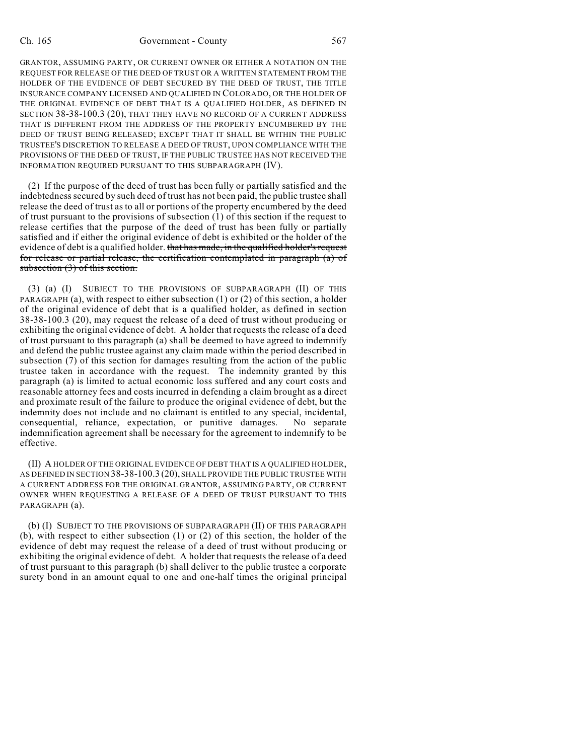#### Ch. 165 Government - County 567

GRANTOR, ASSUMING PARTY, OR CURRENT OWNER OR EITHER A NOTATION ON THE REQUEST FOR RELEASE OF THE DEED OF TRUST OR A WRITTEN STATEMENT FROM THE HOLDER OF THE EVIDENCE OF DEBT SECURED BY THE DEED OF TRUST, THE TITLE INSURANCE COMPANY LICENSED AND QUALIFIED IN COLORADO, OR THE HOLDER OF THE ORIGINAL EVIDENCE OF DEBT THAT IS A QUALIFIED HOLDER, AS DEFINED IN SECTION 38-38-100.3 (20), THAT THEY HAVE NO RECORD OF A CURRENT ADDRESS THAT IS DIFFERENT FROM THE ADDRESS OF THE PROPERTY ENCUMBERED BY THE DEED OF TRUST BEING RELEASED; EXCEPT THAT IT SHALL BE WITHIN THE PUBLIC TRUSTEE'S DISCRETION TO RELEASE A DEED OF TRUST, UPON COMPLIANCE WITH THE PROVISIONS OF THE DEED OF TRUST, IF THE PUBLIC TRUSTEE HAS NOT RECEIVED THE INFORMATION REQUIRED PURSUANT TO THIS SUBPARAGRAPH (IV).

(2) If the purpose of the deed of trust has been fully or partially satisfied and the indebtedness secured by such deed of trust has not been paid, the public trustee shall release the deed of trust as to all or portions of the property encumbered by the deed of trust pursuant to the provisions of subsection (1) of this section if the request to release certifies that the purpose of the deed of trust has been fully or partially satisfied and if either the original evidence of debt is exhibited or the holder of the evidence of debt is a qualified holder. that has made, in the qualified holder's request for release or partial release, the certification contemplated in paragraph (a) of subsection  $(3)$  of this section.

(3) (a) (I) SUBJECT TO THE PROVISIONS OF SUBPARAGRAPH (II) OF THIS PARAGRAPH (a), with respect to either subsection (1) or (2) of this section, a holder of the original evidence of debt that is a qualified holder, as defined in section 38-38-100.3 (20), may request the release of a deed of trust without producing or exhibiting the original evidence of debt. A holder that requests the release of a deed of trust pursuant to this paragraph (a) shall be deemed to have agreed to indemnify and defend the public trustee against any claim made within the period described in subsection (7) of this section for damages resulting from the action of the public trustee taken in accordance with the request. The indemnity granted by this paragraph (a) is limited to actual economic loss suffered and any court costs and reasonable attorney fees and costs incurred in defending a claim brought as a direct and proximate result of the failure to produce the original evidence of debt, but the indemnity does not include and no claimant is entitled to any special, incidental, consequential, reliance, expectation, or punitive damages. No separate indemnification agreement shall be necessary for the agreement to indemnify to be effective.

(II) A HOLDER OF THE ORIGINAL EVIDENCE OF DEBT THAT IS A QUALIFIED HOLDER, AS DEFINED IN SECTION 38-38-100.3 (20), SHALL PROVIDE THE PUBLIC TRUSTEE WITH A CURRENT ADDRESS FOR THE ORIGINAL GRANTOR, ASSUMING PARTY, OR CURRENT OWNER WHEN REQUESTING A RELEASE OF A DEED OF TRUST PURSUANT TO THIS PARAGRAPH (a).

(b) (I) SUBJECT TO THE PROVISIONS OF SUBPARAGRAPH (II) OF THIS PARAGRAPH (b), with respect to either subsection (1) or (2) of this section, the holder of the evidence of debt may request the release of a deed of trust without producing or exhibiting the original evidence of debt. A holder that requests the release of a deed of trust pursuant to this paragraph (b) shall deliver to the public trustee a corporate surety bond in an amount equal to one and one-half times the original principal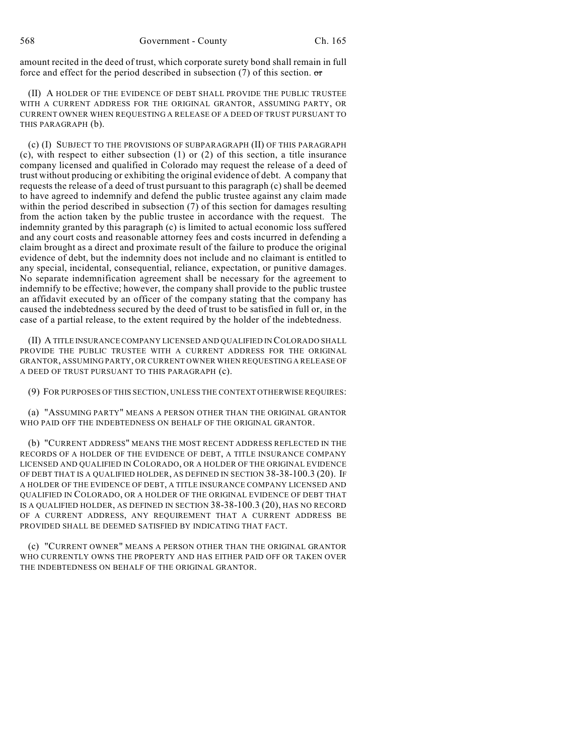amount recited in the deed of trust, which corporate surety bond shall remain in full force and effect for the period described in subsection (7) of this section.  $\sigma$ 

(II) A HOLDER OF THE EVIDENCE OF DEBT SHALL PROVIDE THE PUBLIC TRUSTEE WITH A CURRENT ADDRESS FOR THE ORIGINAL GRANTOR, ASSUMING PARTY, OR CURRENT OWNER WHEN REQUESTING A RELEASE OF A DEED OF TRUST PURSUANT TO THIS PARAGRAPH (b).

(c) (I) SUBJECT TO THE PROVISIONS OF SUBPARAGRAPH (II) OF THIS PARAGRAPH (c), with respect to either subsection (1) or (2) of this section, a title insurance company licensed and qualified in Colorado may request the release of a deed of trust without producing or exhibiting the original evidence of debt. A company that requests the release of a deed of trust pursuant to this paragraph (c) shall be deemed to have agreed to indemnify and defend the public trustee against any claim made within the period described in subsection (7) of this section for damages resulting from the action taken by the public trustee in accordance with the request. The indemnity granted by this paragraph (c) is limited to actual economic loss suffered and any court costs and reasonable attorney fees and costs incurred in defending a claim brought as a direct and proximate result of the failure to produce the original evidence of debt, but the indemnity does not include and no claimant is entitled to any special, incidental, consequential, reliance, expectation, or punitive damages. No separate indemnification agreement shall be necessary for the agreement to indemnify to be effective; however, the company shall provide to the public trustee an affidavit executed by an officer of the company stating that the company has caused the indebtedness secured by the deed of trust to be satisfied in full or, in the case of a partial release, to the extent required by the holder of the indebtedness.

(II) A TITLE INSURANCE COMPANY LICENSED AND QUALIFIED IN COLORADO SHALL PROVIDE THE PUBLIC TRUSTEE WITH A CURRENT ADDRESS FOR THE ORIGINAL GRANTOR, ASSUMING PARTY, OR CURRENT OWNER WHEN REQUESTING A RELEASE OF A DEED OF TRUST PURSUANT TO THIS PARAGRAPH (c).

(9) FOR PURPOSES OF THIS SECTION, UNLESS THE CONTEXT OTHERWISE REQUIRES:

(a) "ASSUMING PARTY" MEANS A PERSON OTHER THAN THE ORIGINAL GRANTOR WHO PAID OFF THE INDEBTEDNESS ON BEHALF OF THE ORIGINAL GRANTOR.

(b) "CURRENT ADDRESS" MEANS THE MOST RECENT ADDRESS REFLECTED IN THE RECORDS OF A HOLDER OF THE EVIDENCE OF DEBT, A TITLE INSURANCE COMPANY LICENSED AND QUALIFIED IN COLORADO, OR A HOLDER OF THE ORIGINAL EVIDENCE OF DEBT THAT IS A QUALIFIED HOLDER, AS DEFINED IN SECTION 38-38-100.3 (20). IF A HOLDER OF THE EVIDENCE OF DEBT, A TITLE INSURANCE COMPANY LICENSED AND QUALIFIED IN COLORADO, OR A HOLDER OF THE ORIGINAL EVIDENCE OF DEBT THAT IS A QUALIFIED HOLDER, AS DEFINED IN SECTION 38-38-100.3 (20), HAS NO RECORD OF A CURRENT ADDRESS, ANY REQUIREMENT THAT A CURRENT ADDRESS BE PROVIDED SHALL BE DEEMED SATISFIED BY INDICATING THAT FACT.

(c) "CURRENT OWNER" MEANS A PERSON OTHER THAN THE ORIGINAL GRANTOR WHO CURRENTLY OWNS THE PROPERTY AND HAS EITHER PAID OFF OR TAKEN OVER THE INDEBTEDNESS ON BEHALF OF THE ORIGINAL GRANTOR.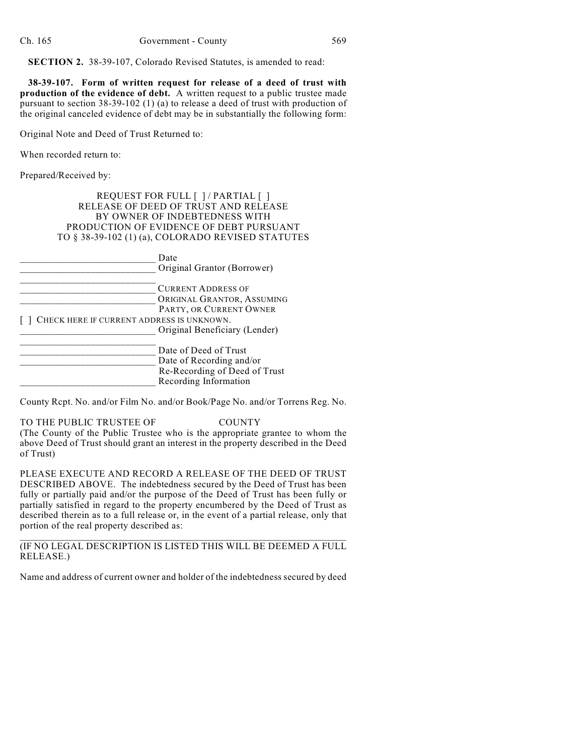**SECTION 2.** 38-39-107, Colorado Revised Statutes, is amended to read:

**38-39-107. Form of written request for release of a deed of trust with production of the evidence of debt.** A written request to a public trustee made pursuant to section 38-39-102 (1) (a) to release a deed of trust with production of the original canceled evidence of debt may be in substantially the following form:

Original Note and Deed of Trust Returned to:

When recorded return to:

Prepared/Received by:

REQUEST FOR FULL [ ] / PARTIAL [ ] RELEASE OF DEED OF TRUST AND RELEASE BY OWNER OF INDEBTEDNESS WITH PRODUCTION OF EVIDENCE OF DEBT PURSUANT TO § 38-39-102 (1) (a), COLORADO REVISED STATUTES

|                                           | Date<br>Original Grantor (Borrower) |
|-------------------------------------------|-------------------------------------|
|                                           | <b>CURRENT ADDRESS OF</b>           |
|                                           | ORIGINAL GRANTOR, ASSUMING          |
|                                           | PARTY, OR CURRENT OWNER             |
| CHECK HERE IF CURRENT ADDRESS IS UNKNOWN. |                                     |
|                                           | Original Beneficiary (Lender)       |
|                                           | Date of Deed of Trust               |
|                                           | Date of Recording and/or            |
|                                           | Re-Recording of Deed of Trust       |
|                                           | Recording Information               |

County Rcpt. No. and/or Film No. and/or Book/Page No. and/or Torrens Reg. No.

TO THE PUBLIC TRUSTEE OF COUNTY (The County of the Public Trustee who is the appropriate grantee to whom the above Deed of Trust should grant an interest in the property described in the Deed of Trust)

PLEASE EXECUTE AND RECORD A RELEASE OF THE DEED OF TRUST DESCRIBED ABOVE. The indebtedness secured by the Deed of Trust has been fully or partially paid and/or the purpose of the Deed of Trust has been fully or partially satisfied in regard to the property encumbered by the Deed of Trust as described therein as to a full release or, in the event of a partial release, only that portion of the real property described as:

 $\_$  , and the set of the set of the set of the set of the set of the set of the set of the set of the set of the set of the set of the set of the set of the set of the set of the set of the set of the set of the set of th (IF NO LEGAL DESCRIPTION IS LISTED THIS WILL BE DEEMED A FULL RELEASE.)

Name and address of current owner and holder of the indebtedness secured by deed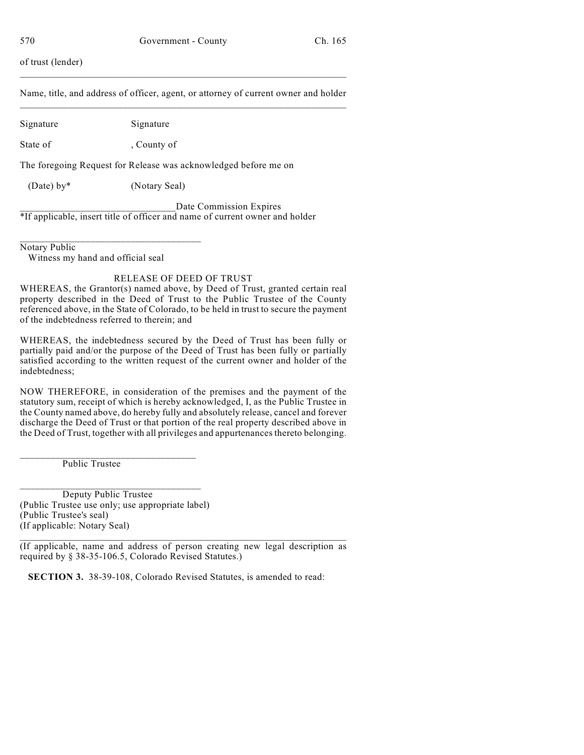of trust (lender)

Name, title, and address of officer, agent, or attorney of current owner and holder \_\_\_\_\_\_\_\_\_\_\_\_\_\_\_\_\_\_\_\_\_\_\_\_\_\_\_\_\_\_\_\_\_\_\_\_\_\_\_\_\_\_\_\_\_\_\_\_\_\_\_\_\_\_\_\_\_\_\_\_\_\_\_\_\_\_\_

 $\_$  , and the set of the set of the set of the set of the set of the set of the set of the set of the set of the set of the set of the set of the set of the set of the set of the set of the set of the set of the set of th

Signature Signature

State of county of

The foregoing Request for Release was acknowledged before me on

(Date) by\* (Notary Seal)

Date Commission Expires \*If applicable, insert title of officer and name of current owner and holder

\_\_\_\_\_\_\_\_\_\_\_\_\_\_\_\_\_\_\_\_\_\_\_\_\_\_\_\_\_\_\_\_\_\_\_\_ Notary Public

Witness my hand and official seal

### RELEASE OF DEED OF TRUST

WHEREAS, the Grantor(s) named above, by Deed of Trust, granted certain real property described in the Deed of Trust to the Public Trustee of the County referenced above, in the State of Colorado, to be held in trust to secure the payment of the indebtedness referred to therein; and

WHEREAS, the indebtedness secured by the Deed of Trust has been fully or partially paid and/or the purpose of the Deed of Trust has been fully or partially satisfied according to the written request of the current owner and holder of the indebtedness;

NOW THEREFORE, in consideration of the premises and the payment of the statutory sum, receipt of which is hereby acknowledged, I, as the Public Trustee in the County named above, do hereby fully and absolutely release, cancel and forever discharge the Deed of Trust or that portion of the real property described above in the Deed of Trust, together with all privileges and appurtenances thereto belonging.

\_\_\_\_\_\_\_\_\_\_\_\_\_\_\_\_\_\_\_\_\_\_\_\_\_\_\_\_\_\_\_\_\_\_\_ Public Trustee

Deputy Public Trustee (Public Trustee use only; use appropriate label) (Public Trustee's seal) (If applicable: Notary Seal)

\_\_\_\_\_\_\_\_\_\_\_\_\_\_\_\_\_\_\_\_\_\_\_\_\_\_\_\_\_\_\_\_\_\_\_\_

 $\_$  , and the set of the set of the set of the set of the set of the set of the set of the set of the set of the set of the set of the set of the set of the set of the set of the set of the set of the set of the set of th (If applicable, name and address of person creating new legal description as required by § 38-35-106.5, Colorado Revised Statutes.)

**SECTION 3.** 38-39-108, Colorado Revised Statutes, is amended to read: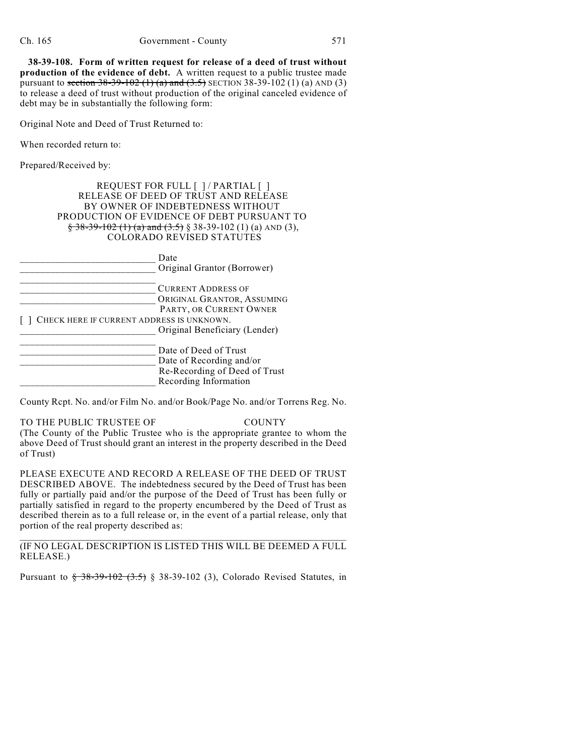**38-39-108. Form of written request for release of a deed of trust without production of the evidence of debt.** A written request to a public trustee made pursuant to section  $38-39-102$  (1) (a) and  $(3.5)$  SECTION 38-39-102 (1) (a) AND (3) to release a deed of trust without production of the original canceled evidence of debt may be in substantially the following form:

Original Note and Deed of Trust Returned to:

When recorded return to:

Prepared/Received by:

#### REQUEST FOR FULL [ ] / PARTIAL [ ] RELEASE OF DEED OF TRUST AND RELEASE BY OWNER OF INDEBTEDNESS WITHOUT PRODUCTION OF EVIDENCE OF DEBT PURSUANT TO  $\frac{2}{3}$  38-39-102 (1) (a) and (3.5) § 38-39-102 (1) (a) AND (3), COLORADO REVISED STATUTES

|                                           | Date<br>Original Grantor (Borrower) |
|-------------------------------------------|-------------------------------------|
|                                           | <b>CURRENT ADDRESS OF</b>           |
|                                           | ORIGINAL GRANTOR, ASSUMING          |
|                                           | PARTY, OR CURRENT OWNER             |
| CHECK HERE IF CURRENT ADDRESS IS UNKNOWN. |                                     |
|                                           | Original Beneficiary (Lender)       |
|                                           | Date of Deed of Trust               |
|                                           | Date of Recording and/or            |
|                                           | Re-Recording of Deed of Trust       |
|                                           | Recording Information               |

County Rcpt. No. and/or Film No. and/or Book/Page No. and/or Torrens Reg. No.

#### TO THE PUBLIC TRUSTEE OF COUNTY (The County of the Public Trustee who is the appropriate grantee to whom the above Deed of Trust should grant an interest in the property described in the Deed of Trust)

PLEASE EXECUTE AND RECORD A RELEASE OF THE DEED OF TRUST DESCRIBED ABOVE. The indebtedness secured by the Deed of Trust has been fully or partially paid and/or the purpose of the Deed of Trust has been fully or partially satisfied in regard to the property encumbered by the Deed of Trust as described therein as to a full release or, in the event of a partial release, only that portion of the real property described as:

#### $\_$  , and the set of the set of the set of the set of the set of the set of the set of the set of the set of the set of the set of the set of the set of the set of the set of the set of the set of the set of the set of th (IF NO LEGAL DESCRIPTION IS LISTED THIS WILL BE DEEMED A FULL RELEASE.)

Pursuant to § 38-39-102 (3.5) § 38-39-102 (3), Colorado Revised Statutes, in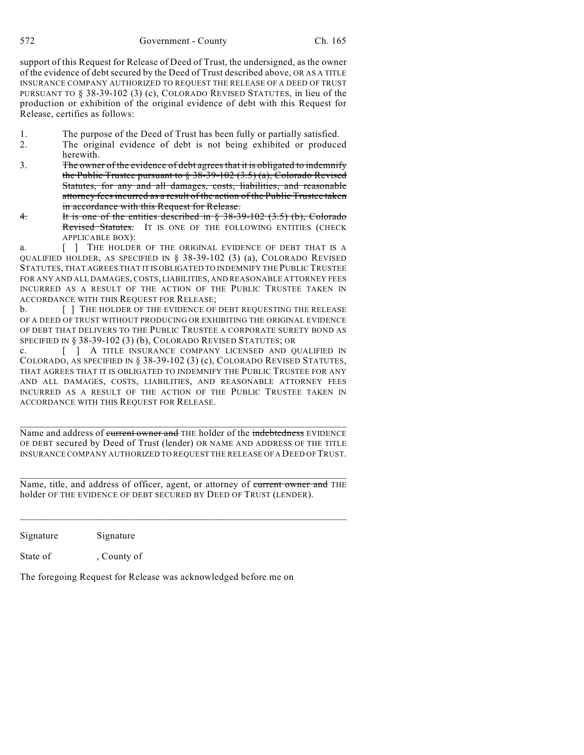572 Government - County Ch. 165

support of this Request for Release of Deed of Trust, the undersigned, as the owner of the evidence of debt secured by the Deed of Trust described above, OR AS A TITLE INSURANCE COMPANY AUTHORIZED TO REQUEST THE RELEASE OF A DEED OF TRUST PURSUANT TO § 38-39-102 (3) (c), COLORADO REVISED STATUTES, in lieu of the production or exhibition of the original evidence of debt with this Request for Release, certifies as follows:

- 1. The purpose of the Deed of Trust has been fully or partially satisfied.
- 2. The original evidence of debt is not being exhibited or produced herewith.
- 3. The owner of the evidence of debt agrees that it is obligated to indemnify the Public Trustee pursuant to  $\S 38-39-102(3.5)$  (a), Colorado Revised Statutes, for any and all damages, costs, liabilities, and reasonable attorney fees incurred as a result of the action of the Public Trustee taken in accordance with this Request for Release.
- 4. It is one of the entities described in § 38-39-102 (3.5) (b), Colorado Revised Statutes. IT IS ONE OF THE FOLLOWING ENTITIES (CHECK APPLICABLE BOX):

a.  $\begin{bmatrix} \end{bmatrix}$  THE HOLDER OF THE ORIGINAL EVIDENCE OF DEBT THAT IS A QUALIFIED HOLDER, AS SPECIFIED IN § 38-39-102 (3) (a), COLORADO REVISED STATUTES, THAT AGREES THAT IT IS OBLIGATED TO INDEMNIFY THE PUBLIC TRUSTEE FOR ANY AND ALL DAMAGES, COSTS, LIABILITIES, AND REASONABLE ATTORNEY FEES INCURRED AS A RESULT OF THE ACTION OF THE PUBLIC TRUSTEE TAKEN IN ACCORDANCE WITH THIS REQUEST FOR RELEASE;

b. [ ] THE HOLDER OF THE EVIDENCE OF DEBT REQUESTING THE RELEASE OF A DEED OF TRUST WITHOUT PRODUCING OR EXHIBITING THE ORIGINAL EVIDENCE OF DEBT THAT DELIVERS TO THE PUBLIC TRUSTEE A CORPORATE SURETY BOND AS SPECIFIED IN § 38-39-102 (3) (b), COLORADO REVISED STATUTES; OR

c. [ ] A TITLE INSURANCE COMPANY LICENSED AND QUALIFIED IN COLORADO, AS SPECIFIED IN § 38-39-102 (3) (c), COLORADO REVISED STATUTES, THAT AGREES THAT IT IS OBLIGATED TO INDEMNIFY THE PUBLIC TRUSTEE FOR ANY AND ALL DAMAGES, COSTS, LIABILITIES, AND REASONABLE ATTORNEY FEES INCURRED AS A RESULT OF THE ACTION OF THE PUBLIC TRUSTEE TAKEN IN ACCORDANCE WITH THIS REQUEST FOR RELEASE.

\_\_\_\_\_\_\_\_\_\_\_\_\_\_\_\_\_\_\_\_\_\_\_\_\_\_\_\_\_\_\_\_\_\_\_\_\_\_\_\_\_\_\_\_\_\_\_\_\_\_\_\_\_\_\_\_\_\_\_\_\_\_\_\_\_\_\_ Name and address of eurrent owner and THE holder of the indebtedness EVIDENCE OF DEBT secured by Deed of Trust (lender) OR NAME AND ADDRESS OF THE TITLE INSURANCE COMPANY AUTHORIZED TO REQUEST THE RELEASE OF A DEED OF TRUST.

 $\_$  ,  $\_$  ,  $\_$  ,  $\_$  ,  $\_$  ,  $\_$  ,  $\_$  ,  $\_$  ,  $\_$  ,  $\_$  ,  $\_$  ,  $\_$  ,  $\_$  ,  $\_$  ,  $\_$  ,  $\_$  ,  $\_$  ,  $\_$  ,  $\_$ Name, title, and address of officer, agent, or attorney of current owner and THE holder OF THE EVIDENCE OF DEBT SECURED BY DEED OF TRUST (LENDER).

\_\_\_\_\_\_\_\_\_\_\_\_\_\_\_\_\_\_\_\_\_\_\_\_\_\_\_\_\_\_\_\_\_\_\_\_\_\_\_\_\_\_\_\_\_\_\_\_\_\_\_\_\_\_\_\_\_\_\_\_\_\_\_\_\_\_\_

Signature Signature State of , County of

The foregoing Request for Release was acknowledged before me on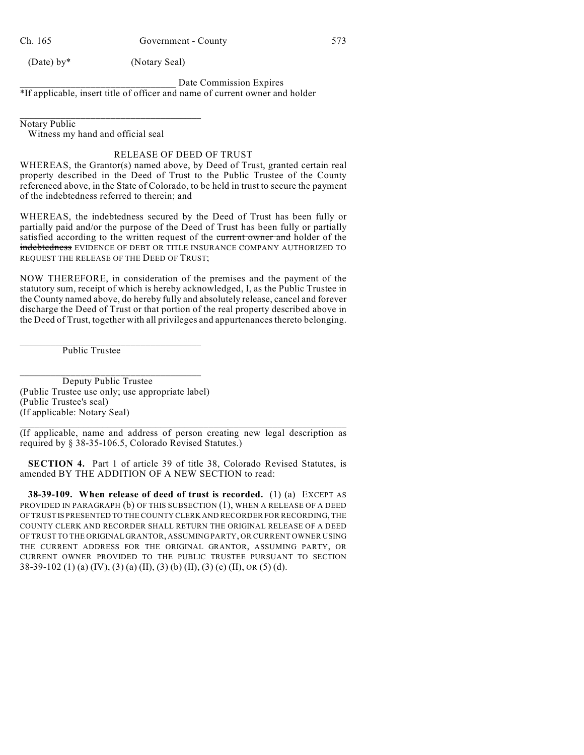Ch. 165 Government - County 573

(Date) by\* (Notary Seal)

Date Commission Expires \*If applicable, insert title of officer and name of current owner and holder

\_\_\_\_\_\_\_\_\_\_\_\_\_\_\_\_\_\_\_\_\_\_\_\_\_\_\_\_\_\_\_\_\_\_\_\_ Notary Public

Witness my hand and official seal

### RELEASE OF DEED OF TRUST

WHEREAS, the Grantor(s) named above, by Deed of Trust, granted certain real property described in the Deed of Trust to the Public Trustee of the County referenced above, in the State of Colorado, to be held in trust to secure the payment of the indebtedness referred to therein; and

WHEREAS, the indebtedness secured by the Deed of Trust has been fully or partially paid and/or the purpose of the Deed of Trust has been fully or partially satisfied according to the written request of the current owner and holder of the indebtedness EVIDENCE OF DEBT OR TITLE INSURANCE COMPANY AUTHORIZED TO REQUEST THE RELEASE OF THE DEED OF TRUST;

NOW THEREFORE, in consideration of the premises and the payment of the statutory sum, receipt of which is hereby acknowledged, I, as the Public Trustee in the County named above, do hereby fully and absolutely release, cancel and forever discharge the Deed of Trust or that portion of the real property described above in the Deed of Trust, together with all privileges and appurtenances thereto belonging.

Public Trustee

Deputy Public Trustee (Public Trustee use only; use appropriate label) (Public Trustee's seal) (If applicable: Notary Seal)

\_\_\_\_\_\_\_\_\_\_\_\_\_\_\_\_\_\_\_\_\_\_\_\_\_\_\_\_\_\_\_\_\_\_\_\_

\_\_\_\_\_\_\_\_\_\_\_\_\_\_\_\_\_\_\_\_\_\_\_\_\_\_\_\_\_\_\_\_\_\_\_\_

\_\_\_\_\_\_\_\_\_\_\_\_\_\_\_\_\_\_\_\_\_\_\_\_\_\_\_\_\_\_\_\_\_\_\_\_\_\_\_\_\_\_\_\_\_\_\_\_\_\_\_\_\_\_\_\_\_\_\_\_\_\_\_\_\_\_\_ (If applicable, name and address of person creating new legal description as required by § 38-35-106.5, Colorado Revised Statutes.)

**SECTION 4.** Part 1 of article 39 of title 38, Colorado Revised Statutes, is amended BY THE ADDITION OF A NEW SECTION to read:

**38-39-109. When release of deed of trust is recorded.** (1) (a) EXCEPT AS PROVIDED IN PARAGRAPH (b) OF THIS SUBSECTION (1), WHEN A RELEASE OF A DEED OF TRUST IS PRESENTED TO THE COUNTY CLERK AND RECORDER FOR RECORDING, THE COUNTY CLERK AND RECORDER SHALL RETURN THE ORIGINAL RELEASE OF A DEED OF TRUST TO THE ORIGINAL GRANTOR, ASSUMING PARTY, OR CURRENT OWNER USING THE CURRENT ADDRESS FOR THE ORIGINAL GRANTOR, ASSUMING PARTY, OR CURRENT OWNER PROVIDED TO THE PUBLIC TRUSTEE PURSUANT TO SECTION 38-39-102 (1) (a) (IV), (3) (a) (II), (3) (b) (II), (3) (c) (II), OR (5) (d).